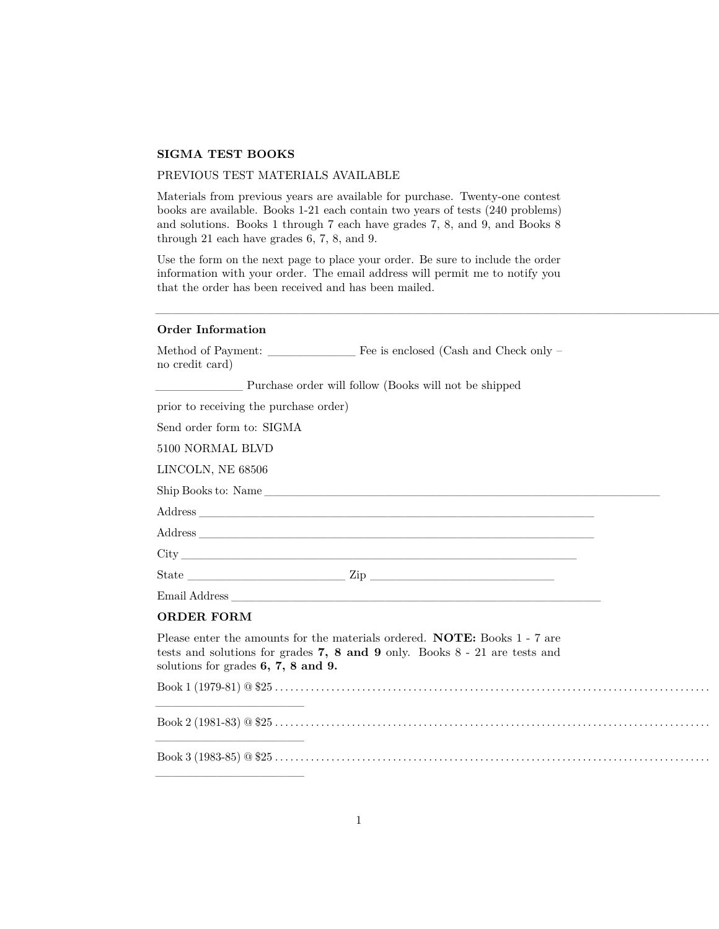## **SIGMA TEST BOOKS**

## PREVIOUS TEST MATERIALS AVAILABLE

Materials from previous years are available for purchase. Twenty-one contest books are available. Books 1-21 each contain two years of tests (240 problems) and solutions. Books 1 through 7 each have grades 7, 8, and 9, and Books 8 through 21 each have grades 6, 7, 8, and 9.

Use the form on the next page to place your order. Be sure to include the order information with your order. The email address will permit me to notify you that the order has been received and has been mailed.

## **Order Information**

| no credit card)                         |                                                                                                                                                               |
|-----------------------------------------|---------------------------------------------------------------------------------------------------------------------------------------------------------------|
|                                         | Purchase order will follow (Books will not be shipped                                                                                                         |
| prior to receiving the purchase order)  |                                                                                                                                                               |
| Send order form to: SIGMA               |                                                                                                                                                               |
| 5100 NORMAL BLVD                        |                                                                                                                                                               |
| LINCOLN, NE 68506                       |                                                                                                                                                               |
|                                         | Ship Books to: Name                                                                                                                                           |
|                                         |                                                                                                                                                               |
|                                         |                                                                                                                                                               |
|                                         |                                                                                                                                                               |
|                                         |                                                                                                                                                               |
|                                         |                                                                                                                                                               |
| <b>ORDER FORM</b>                       |                                                                                                                                                               |
| solutions for grades $6, 7, 8$ and $9.$ | Please enter the amounts for the materials ordered. NOTE: Books 1 - 7 are<br>tests and solutions for grades $7, 8$ and $9$ only. Books $8 - 21$ are tests and |
|                                         |                                                                                                                                                               |
|                                         |                                                                                                                                                               |
|                                         |                                                                                                                                                               |

 $\_$  ,  $\_$  ,  $\_$  ,  $\_$  ,  $\_$  ,  $\_$  ,  $\_$  ,  $\_$  ,  $\_$  ,  $\_$  ,  $\_$  ,  $\_$  ,  $\_$  ,  $\_$  ,  $\_$  ,  $\_$  ,  $\_$  ,  $\_$  ,  $\_$  ,  $\_$  ,  $\_$  ,  $\_$  ,  $\_$  ,  $\_$  ,  $\_$  ,  $\_$  ,  $\_$  ,  $\_$  ,  $\_$  ,  $\_$  ,  $\_$  ,  $\_$  ,  $\_$  ,  $\_$  ,  $\_$  ,  $\_$  ,  $\_$  ,